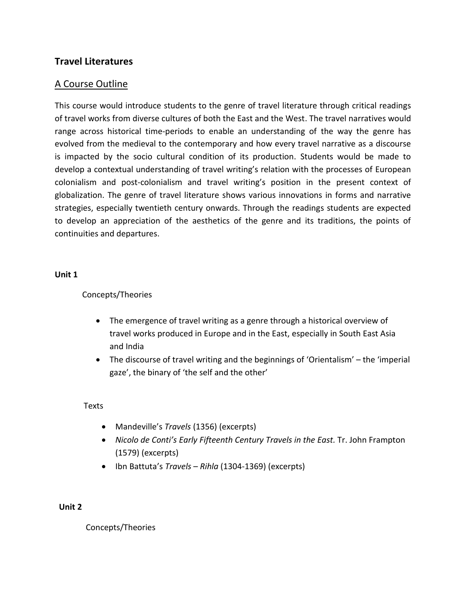# **Travel Literatures**

# A Course Outline

This course would introduce students to the genre of travel literature through critical readings of travel works from diverse cultures of both the East and the West. The travel narratives would range across historical time-periods to enable an understanding of the way the genre has evolved from the medieval to the contemporary and how every travel narrative as a discourse is impacted by the socio cultural condition of its production. Students would be made to develop a contextual understanding of travel writing's relation with the processes of European colonialism and post-colonialism and travel writing's position in the present context of globalization. The genre of travel literature shows various innovations in forms and narrative strategies, especially twentieth century onwards. Through the readings students are expected to develop an appreciation of the aesthetics of the genre and its traditions, the points of continuities and departures.

# **Unit 1**

# Concepts/Theories

- The emergence of travel writing as a genre through a historical overview of travel works produced in Europe and in the East, especially in South East Asia and India
- The discourse of travel writing and the beginnings of 'Orientalism' the 'imperial gaze', the binary of 'the self and the other'

# Texts

- Mandeville's *Travels* (1356) (excerpts)
- *Nicolo de Conti's Early Fifteenth Century Travels in the East.* Tr. John Frampton (1579) (excerpts)
- Ibn Battuta's *Travels Rihla* (1304-1369) (excerpts)

# **Unit 2**

Concepts/Theories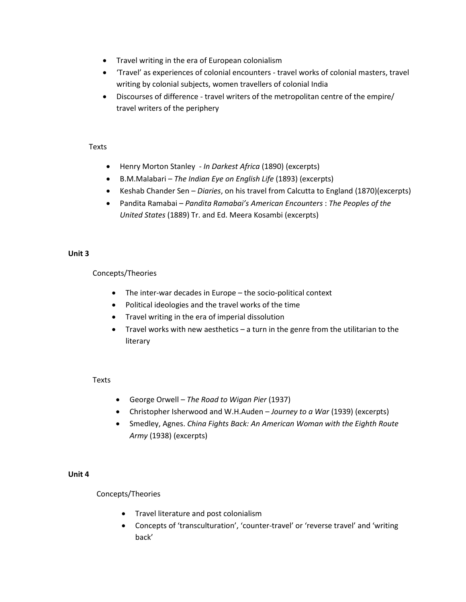- Travel writing in the era of European colonialism
- 'Travel' as experiences of colonial encounters travel works of colonial masters, travel writing by colonial subjects, women travellers of colonial India
- Discourses of difference travel writers of the metropolitan centre of the empire/ travel writers of the periphery

#### Texts

- Henry Morton Stanley *In Darkest Africa* (1890) (excerpts)
- B.M.Malabari *The Indian Eye on English Life* (1893) (excerpts)
- Keshab Chander Sen *Diaries*, on his travel from Calcutta to England (1870)(excerpts)
- Pandita Ramabai *Pandita Ramabai's American Encounters* : *The Peoples of the United States* (1889) Tr. and Ed. Meera Kosambi (excerpts)

#### **Unit 3**

Concepts/Theories

- The inter-war decades in Europe the socio-political context
- Political ideologies and the travel works of the time
- Travel writing in the era of imperial dissolution
- Travel works with new aesthetics a turn in the genre from the utilitarian to the literary

# **Texts**

- George Orwell *The Road to Wigan Pier* (1937)
- Christopher Isherwood and W.H.Auden *Journey to a War* (1939) (excerpts)
- Smedley, Agnes. *China Fights Back: An American Woman with the Eighth Route Army* (1938) (excerpts)

# **Unit 4**

# Concepts/Theories

- **•** Travel literature and post colonialism
- Concepts of 'transculturation', 'counter-travel' or 'reverse travel' and 'writing back'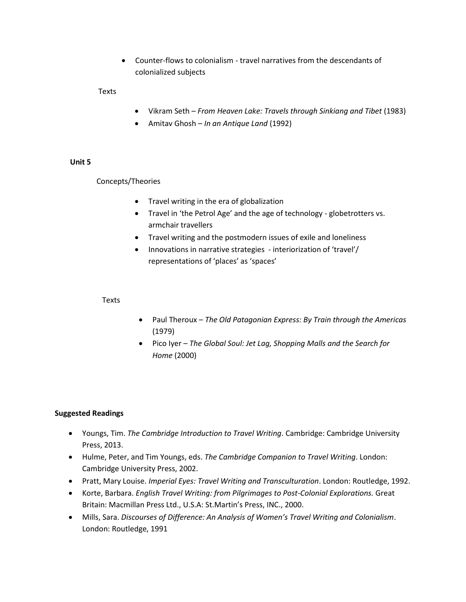Counter-flows to colonialism - travel narratives from the descendants of colonialized subjects

Texts

- Vikram Seth *From Heaven Lake: Travels through Sinkiang and Tibet* (1983)
- Amitav Ghosh *In an Antique Land* (1992)

# **Unit 5**

Concepts/Theories

- Travel writing in the era of globalization
- Travel in 'the Petrol Age' and the age of technology globetrotters vs. armchair travellers
- Travel writing and the postmodern issues of exile and loneliness
- Innovations in narrative strategies interiorization of 'travel'/ representations of 'places' as 'spaces'

Texts

- Paul Theroux *The Old Patagonian Express: By Train through the Americas* (1979)
- Pico Iyer *The Global Soul: Jet Lag, Shopping Malls and the Search for Home* (2000)

# **Suggested Readings**

- Youngs, Tim. *The Cambridge Introduction to Travel Writing*. Cambridge: Cambridge University Press, 2013.
- Hulme, Peter, and Tim Youngs, eds. *The Cambridge Companion to Travel Writing*. London: Cambridge University Press, 2002.
- Pratt, Mary Louise. *Imperial Eyes: Travel Writing and Transculturation*. London: Routledge, 1992.
- Korte, Barbara. *English Travel Writing: from Pilgrimages to Post-Colonial Explorations.* Great Britain: Macmillan Press Ltd., U.S.A: St.Martin's Press, INC., 2000.
- Mills, Sara. *Discourses of Difference: An Analysis of Women's Travel Writing and Colonialism*. London: Routledge, 1991